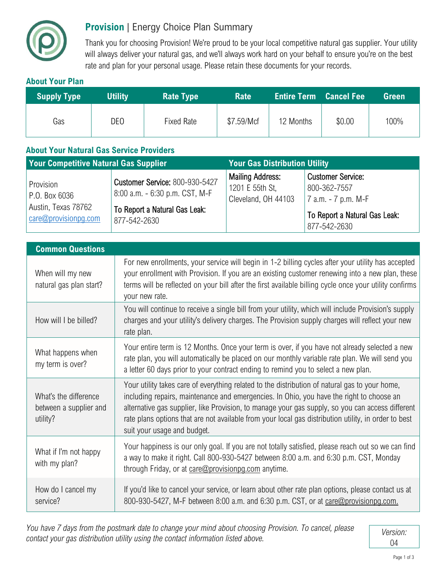

## **Provision** | Energy Choice Plan Summary

Thank you for choosing Provision! We're proud to be your local competitive natural gas supplier. Your utility will always deliver your natural gas, and we'll always work hard on your behalf to ensure you're on the best rate and plan for your personal usage. Please retain these documents for your records.

## **About Your Plan**

| <b>Supply Type</b> | <b>Utility</b>  | <b>Rate Type</b> | <b>Rate</b> | <b>Entire Term Cancel Fee</b> |        | <b>Green</b> |
|--------------------|-----------------|------------------|-------------|-------------------------------|--------|--------------|
| Gas                | DE <sub>0</sub> | Fixed Rate       | \$7.59/Mcf  | 12 Months                     | \$0.00 | 100%         |

## **About Your Natural Gas Service Providers**

| <b>Your Competitive Natural Gas Supplier</b>                              |                                                                                                                          | <b>Your Gas Distribution Utility</b>                              |                                                                                                                      |  |
|---------------------------------------------------------------------------|--------------------------------------------------------------------------------------------------------------------------|-------------------------------------------------------------------|----------------------------------------------------------------------------------------------------------------------|--|
| Provision<br>P.O. Box 6036<br>Austin, Texas 78762<br>care@provisionpg.com | <b>Customer Service: 800-930-5427</b><br>8:00 a.m. - 6:30 p.m. CST, M-F<br>To Report a Natural Gas Leak:<br>877-542-2630 | <b>Mailing Address:</b><br>1201 E 55th St.<br>Cleveland, OH 44103 | <b>Customer Service:</b><br>800-362-7557<br>$ 7$ a.m. $-7$ p.m. M-F<br>To Report a Natural Gas Leak:<br>877-542-2630 |  |

| <b>Common Questions</b>                                     |                                                                                                                                                                                                                                                                                                                                                                                                                                       |  |  |  |
|-------------------------------------------------------------|---------------------------------------------------------------------------------------------------------------------------------------------------------------------------------------------------------------------------------------------------------------------------------------------------------------------------------------------------------------------------------------------------------------------------------------|--|--|--|
| When will my new<br>natural gas plan start?                 | For new enrollments, your service will begin in 1-2 billing cycles after your utility has accepted<br>your enrollment with Provision. If you are an existing customer renewing into a new plan, these<br>terms will be reflected on your bill after the first available billing cycle once your utility confirms<br>your new rate.                                                                                                    |  |  |  |
| How will I be billed?                                       | You will continue to receive a single bill from your utility, which will include Provision's supply<br>charges and your utility's delivery charges. The Provision supply charges will reflect your new<br>rate plan.                                                                                                                                                                                                                  |  |  |  |
| What happens when<br>my term is over?                       | Your entire term is 12 Months. Once your term is over, if you have not already selected a new<br>rate plan, you will automatically be placed on our monthly variable rate plan. We will send you<br>a letter 60 days prior to your contract ending to remind you to select a new plan.                                                                                                                                                |  |  |  |
| What's the difference<br>between a supplier and<br>utility? | Your utility takes care of everything related to the distribution of natural gas to your home,<br>including repairs, maintenance and emergencies. In Ohio, you have the right to choose an<br>alternative gas supplier, like Provision, to manage your gas supply, so you can access different<br>rate plans options that are not available from your local gas distribution utility, in order to best<br>suit your usage and budget. |  |  |  |
| What if I'm not happy<br>with my plan?                      | Your happiness is our only goal. If you are not totally satisfied, please reach out so we can find<br>a way to make it right. Call 800-930-5427 between 8:00 a.m. and 6:30 p.m. CST, Monday<br>through Friday, or at care@provisionpg.com anytime.                                                                                                                                                                                    |  |  |  |
| How do I cancel my<br>service?                              | If you'd like to cancel your service, or learn about other rate plan options, please contact us at<br>800-930-5427, M-F between 8:00 a.m. and 6:30 p.m. CST, or at care@provisionpg.com.                                                                                                                                                                                                                                              |  |  |  |

*You have 7 days from the postmark date to change your mind about choosing Provision. To cancel, please contact your gas distribution utility using the contact information listed above.* <br>Contact your gas distribution utility using the contact information listed above.

04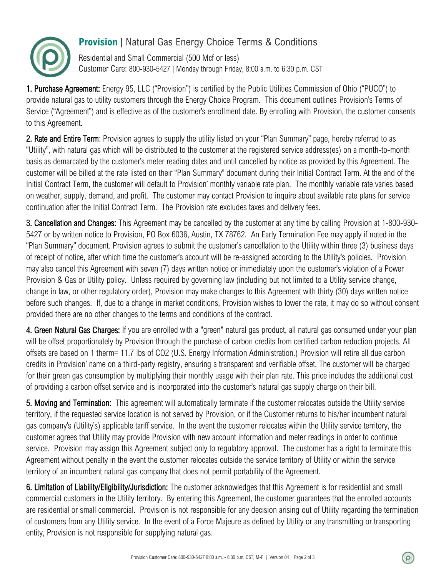

## **Provision** | Natural Gas Energy Choice Terms & Conditions

Residential and Small Commercial (500 Mcf or less) Customer Care: 800-930-5427 | Monday through Friday, 8:00 a.m. to 6:30 p.m. CST

1. Purchase Agreement: Energy 95, LLC ("Provision") is certified by the Public Utilities Commission of Ohio ("PUCO") to provide natural gas to utility customers through the Energy Choice Program. This document outlines Provision's Terms of Service ("Agreement") and is effective as of the customer's enrollment date. By enrolling with Provision, the customer consents to this Agreement.

2. Rate and Entire Term: Provision agrees to supply the utility listed on your "Plan Summary" page, hereby referred to as "Utility", with natural gas which will be distributed to the customer at the registered service address(es) on a month-to-month basis as demarcated by the customer's meter reading dates and until cancelled by notice as provided by this Agreement. The customer will be billed at the rate listed on their "Plan Summary" document during their Initial Contract Term. At the end of the Initial Contract Term, the customer will default to Provision' monthly variable rate plan. The monthly variable rate varies based on weather, supply, demand, and profit. The customer may contact Provision to inquire about available rate plans for service continuation after the Initial Contract Term. The Provision rate excludes taxes and delivery fees.

3. Cancellation and Changes: This Agreement may be cancelled by the customer at any time by calling Provision at 1-800-930- 5427 or by written notice to Provision, PO Box 6036, Austin, TX 78762. An Early Termination Fee may apply if noted in the "Plan Summary" document. Provision agrees to submit the customer's cancellation to the Utility within three (3) business days of receipt of notice, after which time the customer's account will be re-assigned according to the Utility's policies. Provision may also cancel this Agreement with seven (7) days written notice or immediately upon the customer's violation of a Power Provision & Gas or Utility policy. Unless required by governing law (including but not limited to a Utility service change, change in law, or other regulatory order), Provision may make changes to this Agreement with thirty (30) days written notice before such changes. If, due to a change in market conditions, Provision wishes to lower the rate, it may do so without consent provided there are no other changes to the terms and conditions of the contract.

4. Green Natural Gas Charges: If you are enrolled with a "green" natural gas product, all natural gas consumed under your plan will be offset proportionately by Provision through the purchase of carbon credits from certified carbon reduction projects. All offsets are based on 1 therm= 11.7 lbs of CO2 (U.S. Energy Information Administration.) Provision will retire all due carbon credits in Provision' name on a third-party registry, ensuring a transparent and verifiable offset. The customer will be charged for their green gas consumption by multiplying their monthly usage with their plan rate. This price includes the additional cost of providing a carbon offset service and is incorporated into the customer's natural gas supply charge on their bill.

5. Moving and Termination: This agreement will automatically terminate if the customer relocates outside the Utility service territory, if the requested service location is not served by Provision, or if the Customer returns to his/her incumbent natural gas company's (Utility's) applicable tariff service. In the event the customer relocates within the Utility service territory, the customer agrees that Utility may provide Provision with new account information and meter readings in order to continue service. Provision may assign this Agreement subject only to regulatory approval. The customer has a right to terminate this Agreement without penalty in the event the customer relocates outside the service territory of Utility or within the service territory of an incumbent natural gas company that does not permit portability of the Agreement.

6. Limitation of Liability/Eligibility/Jurisdiction: The customer acknowledges that this Agreement is for residential and small commercial customers in the Utility territory. By entering this Agreement, the customer guarantees that the enrolled accounts are residential or small commercial. Provision is not responsible for any decision arising out of Utility regarding the termination of customers from any Utility service. In the event of a Force Majeure as defined by Utility or any transmitting or transporting entity, Provision is not responsible for supplying natural gas.